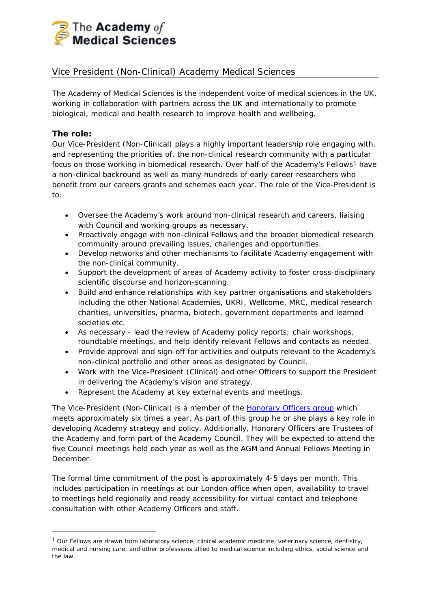

# Vice President (Non-Clinical) Academy Medical Sciences

The Academy of Medical Sciences is the independent voice of medical sciences in the UK, working in collaboration with partners across the UK and internationally to promote biological, medical and health research to improve health and wellbeing.

#### **The role:**

Our Vice-President (Non-Clinical) plays a highly important leadership role engaging with, and representing the priorities of, the non-clinical research community with a particular focus on those working in biomedical research. Over half of the Academy's Fellows<sup>[1](#page-0-0)</sup> have a non-clinical backround as well as many hundreds of early career researchers who benefit from our careers grants and schemes each year. The role of the Vice-President is to:

- Oversee the Academy's work around non-clinical research and careers, liaising with Council and working groups as necessary.
- Proactively engage with non-clinical Fellows and the broader biomedical research community around prevailing issues, challenges and opportunities.
- Develop networks and other mechanisms to facilitate Academy engagement with the non-clinical community.
- Support the development of areas of Academy activity to foster cross-disciplinary scientific discourse and horizon-scanning.
- Build and enhance relationships with key partner organisations and stakeholders including the other National Academies, UKRI, Wellcome, MRC, medical research charities, universities, pharma, biotech, government departments and learned societies etc.
- As necessary lead the review of Academy policy reports; chair workshops, roundtable meetings, and help identify relevant Fellows and contacts as needed.
- Provide approval and sign-off for activities and outputs relevant to the Academy's non-clinical portfolio and other areas as designated by Council.
- Work with the Vice-President (Clinical) and other Officers to support the President in delivering the Academy's vision and strategy.
- Represent the Academy at key external events and meetings.

The Vice-President (Non-Clinical) is a member of the **Honorary Officers group** which meets approximately six times a year. As part of this group he or she plays a key role in developing Academy strategy and policy. Additionally, Honorary Officers are Trustees of the Academy and form part of the Academy Council. They will be expected to attend the five Council meetings held each year as well as the AGM and Annual Fellows Meeting in December.

The formal time commitment of the post is approximately 4-5 days per month. This includes participation in meetings at our London office when open, availability to travel to meetings held regionally and ready accessibility for virtual contact and telephone consultation with other Academy Officers and staff.

<span id="page-0-0"></span> $1$  Our Fellows are drawn from laboratory science, clinical academic medicine, veterinary science, dentistry, medical and nursing care, and other professions allied to medical science including ethics, social science and the law.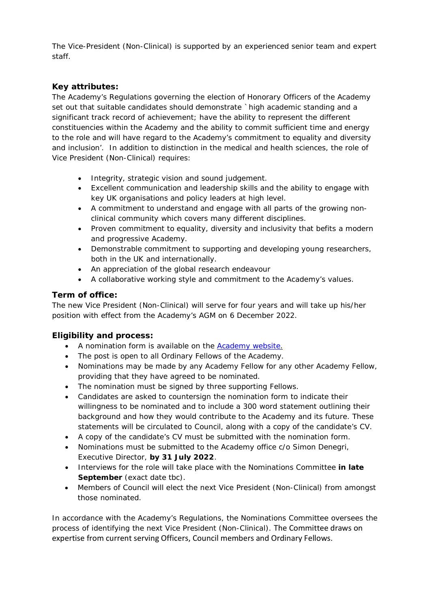The Vice-President (Non-Clinical) is supported by an experienced senior team and expert staff.

## **Key attributes:**

The Academy's Regulations governing the election of Honorary Officers of the Academy set out that suitable candidates should demonstrate *`high academic standing and a significant track record of achievement; have the ability to represent the different constituencies within the Academy and the ability to commit sufficient time and energy to the role and will have regard to the Academy's commitment to equality and diversity and inclusion'*. In addition to distinction in the medical and health sciences, the role of Vice President (Non-Clinical) requires:

- Integrity, strategic vision and sound judgement.
- Excellent communication and leadership skills and the ability to engage with key UK organisations and policy leaders at high level.
- A commitment to understand and engage with all parts of the growing nonclinical community which covers many different disciplines.
- Proven commitment to equality, diversity and inclusivity that befits a modern and progressive Academy.
- Demonstrable commitment to supporting and developing young researchers, both in the UK and internationally.
- An appreciation of the global research endeavour
- A collaborative working style and commitment to the Academy's values.

#### **Term of office:**

The new Vice President (Non-Clinical) will serve for four years and will take up his/her position with effect from the Academy's AGM on 6 December 2022.

### **Eligibility and process:**

- A nomination form is available on the [Academy website.](https://acmedsci.ac.uk/more/news/call-for-nominations-next-vice-president-non-clinical)
- The post is open to all Ordinary Fellows of the Academy.
- Nominations may be made by any Academy Fellow for any other Academy Fellow, providing that they have agreed to be nominated.
- The nomination must be signed by three supporting Fellows.
- Candidates are asked to countersign the nomination form to indicate their willingness to be nominated and to include a 300 word statement outlining their background and how they would contribute to the Academy and its future. These statements will be circulated to Council, along with a copy of the candidate's CV.
- A copy of the candidate's CV must be submitted with the nomination form.
- Nominations must be submitted to the Academy office c/o Simon Denegri, Executive Director, **by 31 July 2022**.
- Interviews for the role will take place with the Nominations Committee **in late September** *(exact date tbc).*
- Members of Council will elect the next Vice President (Non-Clinical) from amongst those nominated.

In accordance with the Academy's Regulations, the Nominations Committee oversees the process of identifying the next Vice President (Non-Clinical). The Committee draws on expertise from current serving Officers, Council members and Ordinary Fellows.